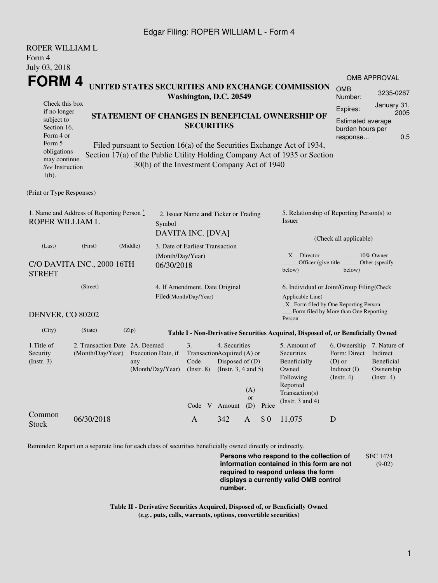## Edgar Filing: ROPER WILLIAM L - Form 4

| ROPER WILLIAM L                                                                               |                                                    |                                                                                           |                                                           |                                                                              |                                                              |                         |                                                                               |                                                                                                                                                       |                                                                                        |                                                    |  |
|-----------------------------------------------------------------------------------------------|----------------------------------------------------|-------------------------------------------------------------------------------------------|-----------------------------------------------------------|------------------------------------------------------------------------------|--------------------------------------------------------------|-------------------------|-------------------------------------------------------------------------------|-------------------------------------------------------------------------------------------------------------------------------------------------------|----------------------------------------------------------------------------------------|----------------------------------------------------|--|
| Form 4                                                                                        |                                                    |                                                                                           |                                                           |                                                                              |                                                              |                         |                                                                               |                                                                                                                                                       |                                                                                        |                                                    |  |
| July 03, 2018                                                                                 |                                                    |                                                                                           |                                                           |                                                                              |                                                              |                         |                                                                               |                                                                                                                                                       |                                                                                        |                                                    |  |
| FORM 4                                                                                        |                                                    |                                                                                           |                                                           |                                                                              |                                                              |                         |                                                                               | <b>OMB APPROVAL</b>                                                                                                                                   |                                                                                        |                                                    |  |
| UNITED STATES SECURITIES AND EXCHANGE COMMISSION<br>Washington, D.C. 20549                    |                                                    |                                                                                           |                                                           |                                                                              |                                                              |                         |                                                                               | <b>OMB</b><br>Number:                                                                                                                                 | 3235-0287                                                                              |                                                    |  |
| Check this box<br>if no longer<br>subject to<br>Section 16.<br>Form 4 or                      |                                                    |                                                                                           |                                                           | <b>SECURITIES</b>                                                            |                                                              |                         | STATEMENT OF CHANGES IN BENEFICIAL OWNERSHIP OF                               | Expires:<br><b>Estimated average</b><br>burden hours per<br>response                                                                                  | January 31,<br>2005<br>0.5                                                             |                                                    |  |
| Form 5<br>obligations<br>may continue.<br>See Instruction<br>$1(b)$ .                         |                                                    |                                                                                           | 30(h) of the Investment Company Act of 1940               |                                                                              |                                                              |                         |                                                                               | Filed pursuant to Section 16(a) of the Securities Exchange Act of 1934,<br>Section 17(a) of the Public Utility Holding Company Act of 1935 or Section |                                                                                        |                                                    |  |
| (Print or Type Responses)                                                                     |                                                    |                                                                                           |                                                           |                                                                              |                                                              |                         |                                                                               |                                                                                                                                                       |                                                                                        |                                                    |  |
| 1. Name and Address of Reporting Person $\stackrel{*}{\text{-}}$<br>ROPER WILLIAM L<br>Symbol |                                                    |                                                                                           | 2. Issuer Name and Ticker or Trading<br>DAVITA INC. [DVA] |                                                                              |                                                              |                         | 5. Relationship of Reporting Person(s) to<br>Issuer<br>(Check all applicable) |                                                                                                                                                       |                                                                                        |                                                    |  |
| (Middle)<br>(Last)<br>(First)<br>C/O DAVITA INC., 2000 16TH<br>06/30/2018<br><b>STREET</b>    |                                                    |                                                                                           |                                                           | 3. Date of Earliest Transaction<br>(Month/Day/Year)                          |                                                              |                         |                                                                               | $X$ Director<br>10% Owner<br>Officer (give title)<br>Other (specify)<br>below)<br>below)                                                              |                                                                                        |                                                    |  |
| (Street)                                                                                      |                                                    |                                                                                           |                                                           | 4. If Amendment, Date Original<br>Filed(Month/Day/Year)                      |                                                              |                         |                                                                               | 6. Individual or Joint/Group Filing(Check<br>Applicable Line)                                                                                         |                                                                                        |                                                    |  |
| <b>DENVER, CO 80202</b>                                                                       |                                                    |                                                                                           |                                                           |                                                                              |                                                              |                         |                                                                               | _X_ Form filed by One Reporting Person<br>_ Form filed by More than One Reporting<br>Person                                                           |                                                                                        |                                                    |  |
| (City)                                                                                        | (State)                                            | (Zip)<br>Table I - Non-Derivative Securities Acquired, Disposed of, or Beneficially Owned |                                                           |                                                                              |                                                              |                         |                                                                               |                                                                                                                                                       |                                                                                        |                                                    |  |
| 1.Title of<br>Security<br>(Insert. 3)                                                         | 2. Transaction Date 2A. Deemed<br>(Month/Day/Year) | any                                                                                       | Execution Date, if<br>(Month/Day/Year)                    | 3.<br>TransactionAcquired (A) or<br>Code<br>$($ Instr. $8)$<br>Code V Amount | 4. Securities<br>Disposed of (D)<br>(Instr. $3, 4$ and $5$ ) | (A)<br><b>or</b><br>(D) | Price                                                                         | 5. Amount of<br>Securities<br>Beneficially<br>Owned<br>Following<br>Reported<br>Transaction(s)<br>(Instr. $3$ and $4$ )                               | 6. Ownership 7. Nature of<br>Form: Direct<br>$(D)$ or<br>Indirect $(I)$<br>(Insert. 4) | Indirect<br>Beneficial<br>Ownership<br>(Insert. 4) |  |
| Common<br><b>Stock</b>                                                                        | 06/30/2018                                         |                                                                                           |                                                           | $\mathbf{A}$                                                                 | 342                                                          | $\mathbf{A}$            | \$0                                                                           | 11,075                                                                                                                                                | D                                                                                      |                                                    |  |

Reminder: Report on a separate line for each class of securities beneficially owned directly or indirectly.

**Persons who respond to the collection of information contained in this form are not required to respond unless the form displays a currently valid OMB control number.** SEC 1474 (9-02)

**Table II - Derivative Securities Acquired, Disposed of, or Beneficially Owned (***e.g.***, puts, calls, warrants, options, convertible securities)**